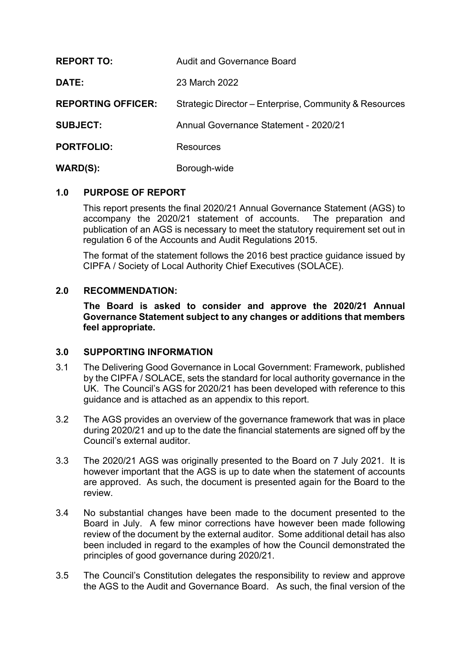| <b>REPORT TO:</b>         | <b>Audit and Governance Board</b>                      |
|---------------------------|--------------------------------------------------------|
| DATE:                     | 23 March 2022                                          |
| <b>REPORTING OFFICER:</b> | Strategic Director – Enterprise, Community & Resources |
| <b>SUBJECT:</b>           | Annual Governance Statement - 2020/21                  |
| <b>PORTFOLIO:</b>         | <b>Resources</b>                                       |
| <b>WARD(S):</b>           | Borough-wide                                           |

## **1.0 PURPOSE OF REPORT**

This report presents the final 2020/21 Annual Governance Statement (AGS) to accompany the 2020/21 statement of accounts. The preparation and publication of an AGS is necessary to meet the statutory requirement set out in regulation 6 of the Accounts and Audit Regulations 2015.

The format of the statement follows the 2016 best practice guidance issued by CIPFA / Society of Local Authority Chief Executives (SOLACE).

## **2.0 RECOMMENDATION:**

**The Board is asked to consider and approve the 2020/21 Annual Governance Statement subject to any changes or additions that members feel appropriate.**

## **3.0 SUPPORTING INFORMATION**

- 3.1 The Delivering Good Governance in Local Government: Framework, published by the CIPFA / SOLACE, sets the standard for local authority governance in the UK. The Council's AGS for 2020/21 has been developed with reference to this guidance and is attached as an appendix to this report.
- 3.2 The AGS provides an overview of the governance framework that was in place during 2020/21 and up to the date the financial statements are signed off by the Council's external auditor.
- 3.3 The 2020/21 AGS was originally presented to the Board on 7 July 2021. It is however important that the AGS is up to date when the statement of accounts are approved. As such, the document is presented again for the Board to the review.
- 3.4 No substantial changes have been made to the document presented to the Board in July. A few minor corrections have however been made following review of the document by the external auditor. Some additional detail has also been included in regard to the examples of how the Council demonstrated the principles of good governance during 2020/21.
- 3.5 The Council's Constitution delegates the responsibility to review and approve the AGS to the Audit and Governance Board. As such, the final version of the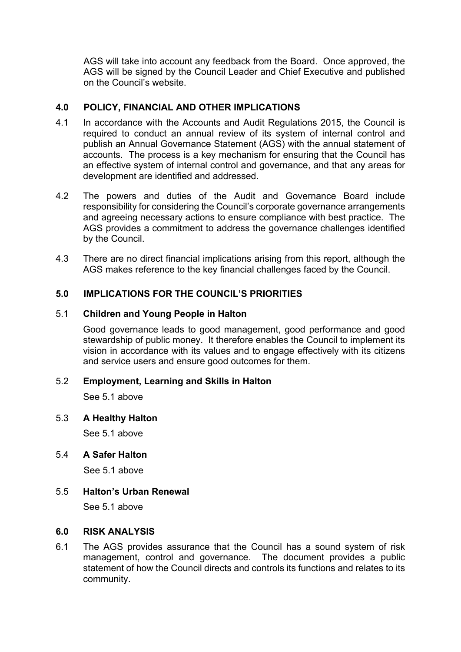AGS will take into account any feedback from the Board. Once approved, the AGS will be signed by the Council Leader and Chief Executive and published on the Council's website.

# **4.0 POLICY, FINANCIAL AND OTHER IMPLICATIONS**

- 4.1 In accordance with the Accounts and Audit Regulations 2015, the Council is required to conduct an annual review of its system of internal control and publish an Annual Governance Statement (AGS) with the annual statement of accounts. The process is a key mechanism for ensuring that the Council has an effective system of internal control and governance, and that any areas for development are identified and addressed.
- 4.2 The powers and duties of the Audit and Governance Board include responsibility for considering the Council's corporate governance arrangements and agreeing necessary actions to ensure compliance with best practice. The AGS provides a commitment to address the governance challenges identified by the Council.
- 4.3 There are no direct financial implications arising from this report, although the AGS makes reference to the key financial challenges faced by the Council.

## **5.0 IMPLICATIONS FOR THE COUNCIL'S PRIORITIES**

## 5.1 **Children and Young People in Halton**

Good governance leads to good management, good performance and good stewardship of public money. It therefore enables the Council to implement its vision in accordance with its values and to engage effectively with its citizens and service users and ensure good outcomes for them.

## 5.2 **Employment, Learning and Skills in Halton**

See 5.1 above

## 5.3 **A Healthy Halton**

See 5.1 above

## 5.4 **A Safer Halton**

See 5.1 above

## 5.5 **Halton's Urban Renewal**

See 5.1 above

#### **6.0 RISK ANALYSIS**

6.1 The AGS provides assurance that the Council has a sound system of risk management, control and governance. The document provides a public statement of how the Council directs and controls its functions and relates to its community.